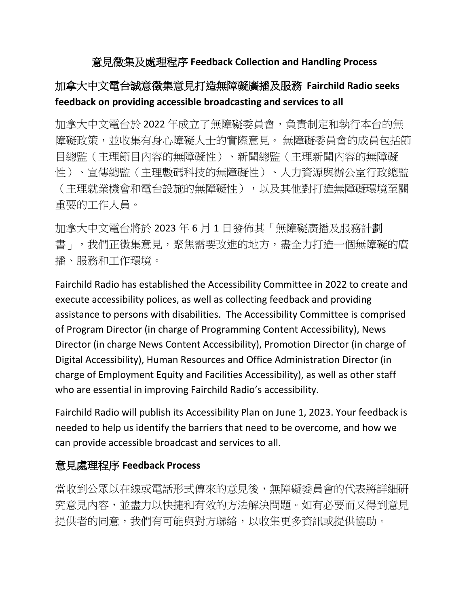## 意見徵集及處理程序 **Feedback Collection and Handling Process**

## 加拿大中文電台誠意徵集意見打造無障礙廣播及服務 **Fairchild Radio seeks feedback on providing accessible broadcasting and services to all**

加拿大中文電台於 2022 年成立了無障礙委員會,負責制定和執行本台的無 障礙政策,並收集有身心障礙人士的實際意見。無障礙委員會的成員包括節 目總監(主理節目內容的無障礙性)、新聞總監(主理新聞內容的無障礙 性)、宣傳總監(主理數碼科技的無障礙性)、人力資源與辦公室行政總監 (主理就業機會和電台設施的無障礙性),以及其他對打造無障礙環境至關 重要的工作人員。

加拿大中文電台將於 2023 年 6 月 1 日發佈其「無障礙廣播及服務計劃 書」,我們正徵集意見,聚焦需要改進的地方,盡全力打造一個無障礙的廣 播、服務和工作環境。

Fairchild Radio has established the Accessibility Committee in 2022 to create and execute accessibility polices, as well as collecting feedback and providing assistance to persons with disabilities. The Accessibility Committee is comprised of Program Director (in charge of Programming Content Accessibility), News Director (in charge News Content Accessibility), Promotion Director (in charge of Digital Accessibility), Human Resources and Office Administration Director (in charge of Employment Equity and Facilities Accessibility), as well as other staff who are essential in improving Fairchild Radio's accessibility.

Fairchild Radio will publish its Accessibility Plan on June 1, 2023. Your feedback is needed to help us identify the barriers that need to be overcome, and how we can provide accessible broadcast and services to all.

## 意見處理程序 **Feedback Process**

當收到公眾以在線或電話形式傳來的意見後,無障礙委員會的代表將詳細研 究意見內容,並盡力以快捷和有效的方法解決問題。如有必要而又得到意見 提供者的同意,我們有可能與對方聯絡,以收集更多資訊或提供協助。